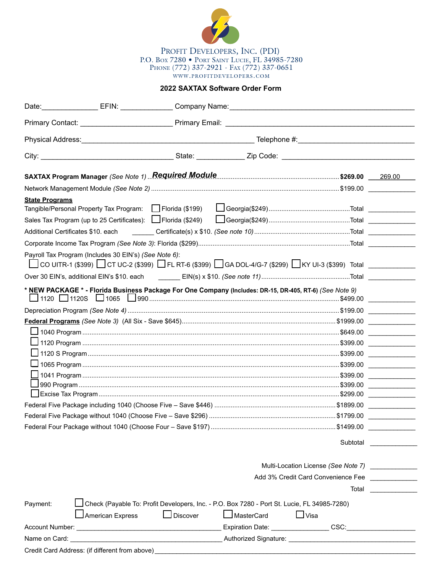

**2022 SAXTAX Software Order Form**

|                                    | Date: EFIN: Company Name: Company Number 2014                                                                                                                                                                                  |                 |            |                                    |                                                                                                                                                                                                                                      |
|------------------------------------|--------------------------------------------------------------------------------------------------------------------------------------------------------------------------------------------------------------------------------|-----------------|------------|------------------------------------|--------------------------------------------------------------------------------------------------------------------------------------------------------------------------------------------------------------------------------------|
|                                    |                                                                                                                                                                                                                                |                 |            |                                    |                                                                                                                                                                                                                                      |
|                                    | Physical Address: No. 2008. The Contract of Telephone #: No. 2008. The Physical Address: No. 2008. The Contract of Telephone #: No. 2008. The Contract of Telephone #: No. 2008. The Contract of Telephone #: No. 2008. The Co |                 |            |                                    |                                                                                                                                                                                                                                      |
|                                    |                                                                                                                                                                                                                                |                 |            |                                    |                                                                                                                                                                                                                                      |
|                                    | SAXTAX Program Manager (See Note 1) Required Module Manuscrittion Contract \$269.00                                                                                                                                            |                 |            |                                    | 269.00                                                                                                                                                                                                                               |
|                                    |                                                                                                                                                                                                                                |                 |            |                                    |                                                                                                                                                                                                                                      |
| <b>State Programs</b>              | Tangible/Personal Property Tax Program:   Florida (\$199)<br>Sales Tax Program (up to 25 Certificates):   Florida (\$249)                                                                                                      |                 |            |                                    |                                                                                                                                                                                                                                      |
| Additional Certificates \$10. each |                                                                                                                                                                                                                                |                 |            |                                    |                                                                                                                                                                                                                                      |
|                                    |                                                                                                                                                                                                                                |                 |            |                                    |                                                                                                                                                                                                                                      |
|                                    | Payroll Tax Program (Includes 30 EIN's) (See Note 6):<br>□ CO UITR-1 (\$399) □ CT UC-2 (\$399) □ FL RT-6 (\$399) □ GA DOL-4/G-7 (\$299) □ KY UI-3 (\$399) Total ___________                                                    |                 |            |                                    |                                                                                                                                                                                                                                      |
|                                    |                                                                                                                                                                                                                                |                 |            |                                    |                                                                                                                                                                                                                                      |
|                                    | * NEW PACKAGE * - Florida Business Package For One Company (Includes: DR-15, DR-405, RT-6) (See Note 9)                                                                                                                        |                 |            |                                    | <u>and the community of the community of the community of the community of the community of the community of the community of the community of the community of the community of the community of the community of the community</u> |
|                                    |                                                                                                                                                                                                                                |                 |            |                                    |                                                                                                                                                                                                                                      |
|                                    |                                                                                                                                                                                                                                |                 |            |                                    |                                                                                                                                                                                                                                      |
|                                    |                                                                                                                                                                                                                                |                 |            |                                    | <u>and the state of the state of the state of the state of the state of the state of the state of the state of the state of the state of the state of the state of the state of the state of the state of the state of the state</u> |
|                                    |                                                                                                                                                                                                                                |                 |            |                                    |                                                                                                                                                                                                                                      |
|                                    |                                                                                                                                                                                                                                |                 |            |                                    |                                                                                                                                                                                                                                      |
|                                    |                                                                                                                                                                                                                                |                 |            |                                    |                                                                                                                                                                                                                                      |
|                                    |                                                                                                                                                                                                                                |                 |            |                                    |                                                                                                                                                                                                                                      |
|                                    |                                                                                                                                                                                                                                |                 |            |                                    |                                                                                                                                                                                                                                      |
|                                    |                                                                                                                                                                                                                                |                 |            |                                    |                                                                                                                                                                                                                                      |
|                                    |                                                                                                                                                                                                                                |                 |            |                                    |                                                                                                                                                                                                                                      |
|                                    |                                                                                                                                                                                                                                |                 |            | Subtotal                           |                                                                                                                                                                                                                                      |
|                                    |                                                                                                                                                                                                                                |                 |            |                                    |                                                                                                                                                                                                                                      |
|                                    |                                                                                                                                                                                                                                |                 |            | Add 3% Credit Card Convenience Fee |                                                                                                                                                                                                                                      |
|                                    |                                                                                                                                                                                                                                |                 |            | Total                              |                                                                                                                                                                                                                                      |
| Payment:                           | Leheck (Payable To: Profit Developers, Inc. - P.O. Box 7280 - Port St. Lucie, FL 34985-7280)                                                                                                                                   |                 |            |                                    |                                                                                                                                                                                                                                      |
|                                    | American Express                                                                                                                                                                                                               | $\Box$ Discover | MasterCard | $\Box$ Visa                        |                                                                                                                                                                                                                                      |
|                                    |                                                                                                                                                                                                                                |                 |            | Expiration Date: CSC: CSC:         |                                                                                                                                                                                                                                      |
| Name on Card:                      |                                                                                                                                                                                                                                |                 |            |                                    |                                                                                                                                                                                                                                      |
|                                    | Credit Card Address: (if different from above) _________________________________                                                                                                                                               |                 |            |                                    |                                                                                                                                                                                                                                      |